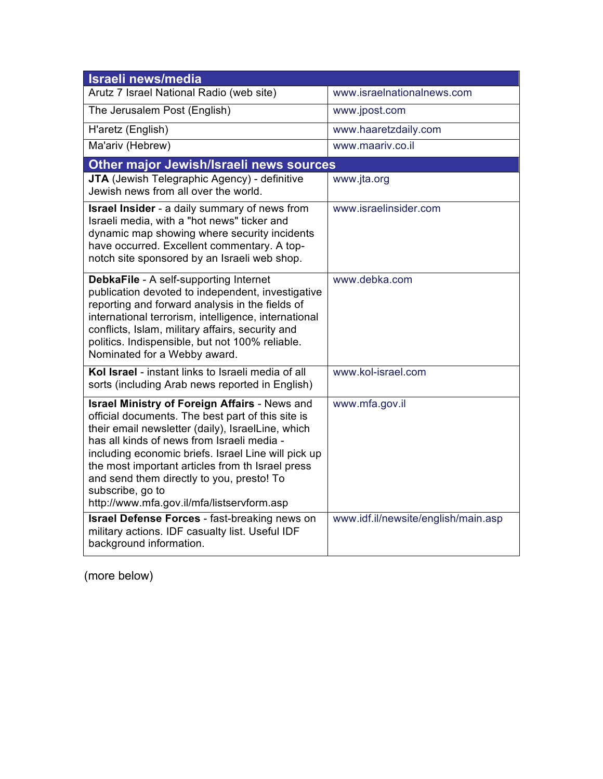| Israeli news/media                                                                                                                                                                                                                                                                                                                                                                                                                     |                                     |  |
|----------------------------------------------------------------------------------------------------------------------------------------------------------------------------------------------------------------------------------------------------------------------------------------------------------------------------------------------------------------------------------------------------------------------------------------|-------------------------------------|--|
| Arutz 7 Israel National Radio (web site)                                                                                                                                                                                                                                                                                                                                                                                               | www.israelnationalnews.com          |  |
| The Jerusalem Post (English)                                                                                                                                                                                                                                                                                                                                                                                                           | www.jpost.com                       |  |
| H'aretz (English)                                                                                                                                                                                                                                                                                                                                                                                                                      | www.haaretzdaily.com                |  |
| Ma'ariv (Hebrew)                                                                                                                                                                                                                                                                                                                                                                                                                       | www.maariv.co.il                    |  |
| Other major Jewish/Israeli news sources                                                                                                                                                                                                                                                                                                                                                                                                |                                     |  |
| <b>JTA</b> (Jewish Telegraphic Agency) - definitive<br>Jewish news from all over the world.                                                                                                                                                                                                                                                                                                                                            | www.jta.org                         |  |
| <b>Israel Insider</b> - a daily summary of news from<br>Israeli media, with a "hot news" ticker and<br>dynamic map showing where security incidents<br>have occurred. Excellent commentary. A top-<br>notch site sponsored by an Israeli web shop.                                                                                                                                                                                     | www.israelinsider.com               |  |
| <b>DebkaFile</b> - A self-supporting Internet<br>publication devoted to independent, investigative<br>reporting and forward analysis in the fields of<br>international terrorism, intelligence, international<br>conflicts, Islam, military affairs, security and<br>politics. Indispensible, but not 100% reliable.<br>Nominated for a Webby award.                                                                                   | www.debka.com                       |  |
| Kol Israel - instant links to Israeli media of all<br>sorts (including Arab news reported in English)                                                                                                                                                                                                                                                                                                                                  | www.kol-israel.com                  |  |
| <b>Israel Ministry of Foreign Affairs - News and</b><br>official documents. The best part of this site is<br>their email newsletter (daily), IsraelLine, which<br>has all kinds of news from Israeli media -<br>including economic briefs. Israel Line will pick up<br>the most important articles from th Israel press<br>and send them directly to you, presto! To<br>subscribe, go to<br>http://www.mfa.gov.il/mfa/listservform.asp | www.mfa.gov.il                      |  |
| <b>Israel Defense Forces - fast-breaking news on</b><br>military actions. IDF casualty list. Useful IDF<br>background information.                                                                                                                                                                                                                                                                                                     | www.idf.il/newsite/english/main.asp |  |

(more below)